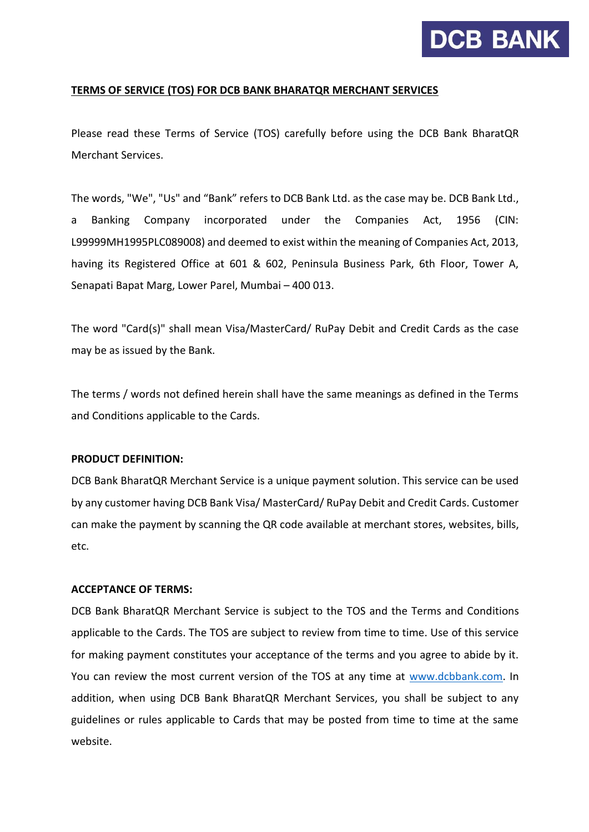

# **TERMS OF SERVICE (TOS) FOR DCB BANK BHARATQR MERCHANT SERVICES**

Please read these Terms of Service (TOS) carefully before using the DCB Bank BharatQR Merchant Services.

The words, "We", "Us" and "Bank" refers to DCB Bank Ltd. as the case may be. DCB Bank Ltd., a Banking Company incorporated under the Companies Act, 1956 (CIN: L99999MH1995PLC089008) and deemed to exist within the meaning of Companies Act, 2013, having its Registered Office at 601 & 602, Peninsula Business Park, 6th Floor, Tower A, Senapati Bapat Marg, Lower Parel, Mumbai – 400 013.

The word "Card(s)" shall mean Visa/MasterCard/ RuPay Debit and Credit Cards as the case may be as issued by the Bank.

The terms / words not defined herein shall have the same meanings as defined in the Terms and Conditions applicable to the Cards.

## **PRODUCT DEFINITION:**

DCB Bank BharatQR Merchant Service is a unique payment solution. This service can be used by any customer having DCB Bank Visa/ MasterCard/ RuPay Debit and Credit Cards. Customer can make the payment by scanning the QR code available at merchant stores, websites, bills, etc.

# **ACCEPTANCE OF TERMS:**

DCB Bank BharatQR Merchant Service is subject to the TOS and the Terms and Conditions applicable to the Cards. The TOS are subject to review from time to time. Use of this service for making payment constitutes your acceptance of the terms and you agree to abide by it. You can review the most current version of the TOS at any time at [www.dcbbank.com.](http://www.dcbbank.com/) In addition, when using DCB Bank BharatQR Merchant Services, you shall be subject to any guidelines or rules applicable to Cards that may be posted from time to time at the same website.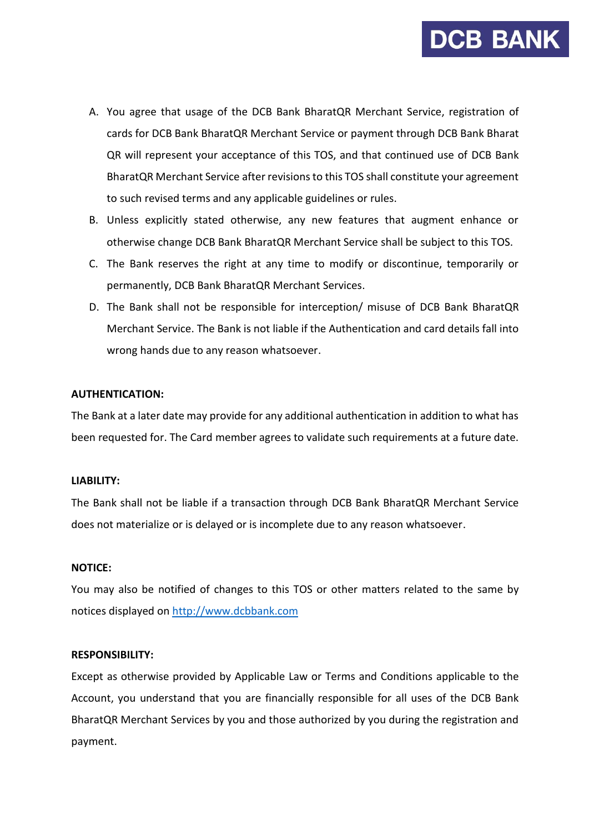

- A. You agree that usage of the DCB Bank BharatQR Merchant Service, registration of cards for DCB Bank BharatQR Merchant Service or payment through DCB Bank Bharat QR will represent your acceptance of this TOS, and that continued use of DCB Bank BharatQR Merchant Service after revisions to this TOS shall constitute your agreement to such revised terms and any applicable guidelines or rules.
- B. Unless explicitly stated otherwise, any new features that augment enhance or otherwise change DCB Bank BharatQR Merchant Service shall be subject to this TOS.
- C. The Bank reserves the right at any time to modify or discontinue, temporarily or permanently, DCB Bank BharatQR Merchant Services.
- D. The Bank shall not be responsible for interception/ misuse of DCB Bank BharatQR Merchant Service. The Bank is not liable if the Authentication and card details fall into wrong hands due to any reason whatsoever.

## **AUTHENTICATION:**

The Bank at a later date may provide for any additional authentication in addition to what has been requested for. The Card member agrees to validate such requirements at a future date.

### **LIABILITY:**

The Bank shall not be liable if a transaction through DCB Bank BharatQR Merchant Service does not materialize or is delayed or is incomplete due to any reason whatsoever.

### **NOTICE:**

You may also be notified of changes to this TOS or other matters related to the same by notices displayed on [http://www.dcbbank.com](http://www.dcbbank.com/)

### **RESPONSIBILITY:**

Except as otherwise provided by Applicable Law or Terms and Conditions applicable to the Account, you understand that you are financially responsible for all uses of the DCB Bank BharatQR Merchant Services by you and those authorized by you during the registration and payment.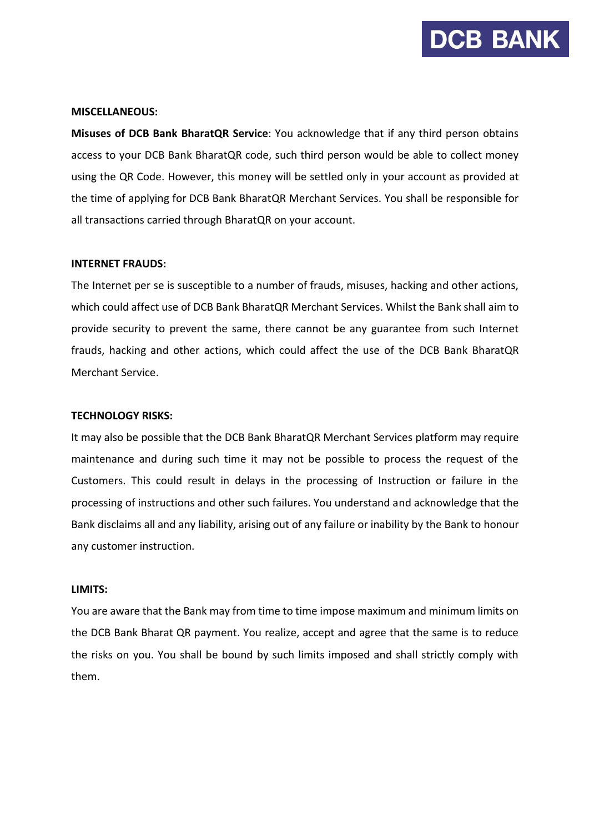

### **MISCELLANEOUS:**

**Misuses of DCB Bank BharatQR Service**: You acknowledge that if any third person obtains access to your DCB Bank BharatQR code, such third person would be able to collect money using the QR Code. However, this money will be settled only in your account as provided at the time of applying for DCB Bank BharatQR Merchant Services. You shall be responsible for all transactions carried through BharatQR on your account.

#### **INTERNET FRAUDS:**

The Internet per se is susceptible to a number of frauds, misuses, hacking and other actions, which could affect use of DCB Bank BharatQR Merchant Services. Whilst the Bank shall aim to provide security to prevent the same, there cannot be any guarantee from such Internet frauds, hacking and other actions, which could affect the use of the DCB Bank BharatQR Merchant Service.

#### **TECHNOLOGY RISKS:**

It may also be possible that the DCB Bank BharatQR Merchant Services platform may require maintenance and during such time it may not be possible to process the request of the Customers. This could result in delays in the processing of Instruction or failure in the processing of instructions and other such failures. You understand and acknowledge that the Bank disclaims all and any liability, arising out of any failure or inability by the Bank to honour any customer instruction.

### **LIMITS:**

You are aware that the Bank may from time to time impose maximum and minimum limits on the DCB Bank Bharat QR payment. You realize, accept and agree that the same is to reduce the risks on you. You shall be bound by such limits imposed and shall strictly comply with them.